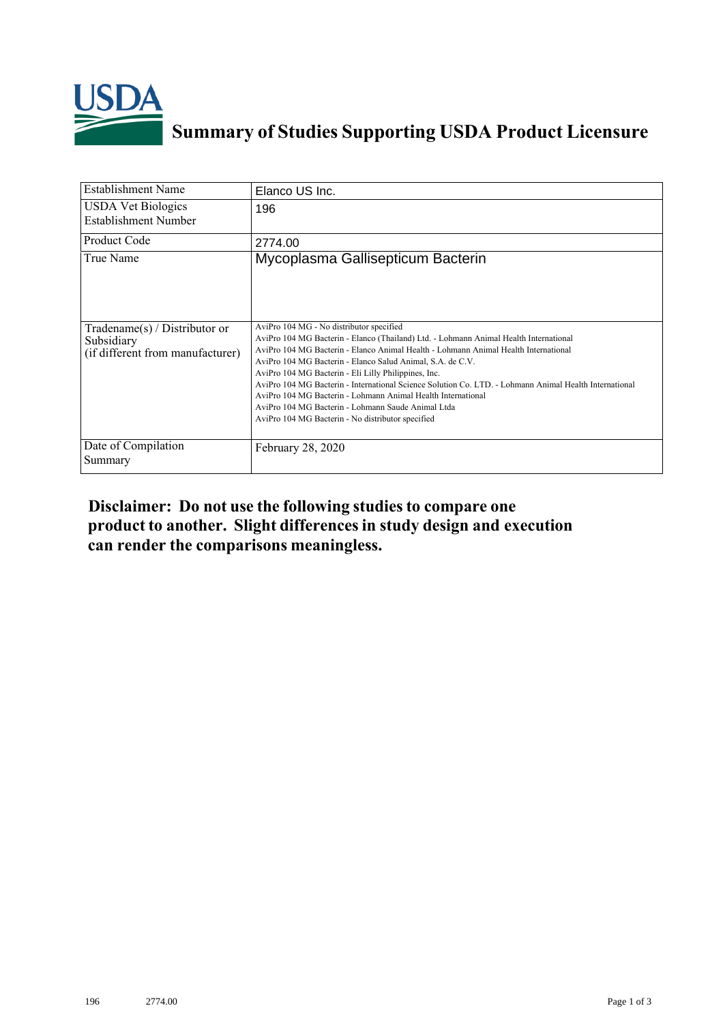

## **Summary of Studies Supporting USDA Product Licensure**

| <b>Establishment Name</b>                                                          | Elanco US Inc.                                                                                                                                                                                                                                                                                                                                                                                                                                                                                                                                                                                                                      |
|------------------------------------------------------------------------------------|-------------------------------------------------------------------------------------------------------------------------------------------------------------------------------------------------------------------------------------------------------------------------------------------------------------------------------------------------------------------------------------------------------------------------------------------------------------------------------------------------------------------------------------------------------------------------------------------------------------------------------------|
| <b>USDA Vet Biologics</b><br>Establishment Number                                  | 196                                                                                                                                                                                                                                                                                                                                                                                                                                                                                                                                                                                                                                 |
| <b>Product Code</b>                                                                | 2774.00                                                                                                                                                                                                                                                                                                                                                                                                                                                                                                                                                                                                                             |
| True Name                                                                          | Mycoplasma Gallisepticum Bacterin                                                                                                                                                                                                                                                                                                                                                                                                                                                                                                                                                                                                   |
| Tradename $(s)$ / Distributor or<br>Subsidiary<br>(if different from manufacturer) | AviPro 104 MG - No distributor specified<br>AviPro 104 MG Bacterin - Elanco (Thailand) Ltd. - Lohmann Animal Health International<br>AviPro 104 MG Bacterin - Elanco Animal Health - Lohmann Animal Health International<br>AviPro 104 MG Bacterin - Elanco Salud Animal, S.A. de C.V.<br>AviPro 104 MG Bacterin - Eli Lilly Philippines, Inc.<br>AviPro 104 MG Bacterin - International Science Solution Co. LTD. - Lohmann Animal Health International<br>AviPro 104 MG Bacterin - Lohmann Animal Health International<br>AviPro 104 MG Bacterin - Lohmann Saude Animal Ltda<br>AviPro 104 MG Bacterin - No distributor specified |
| Date of Compilation<br>Summary                                                     | February 28, 2020                                                                                                                                                                                                                                                                                                                                                                                                                                                                                                                                                                                                                   |

## **Disclaimer: Do not use the following studiesto compare one product to another. Slight differencesin study design and execution can render the comparisons meaningless.**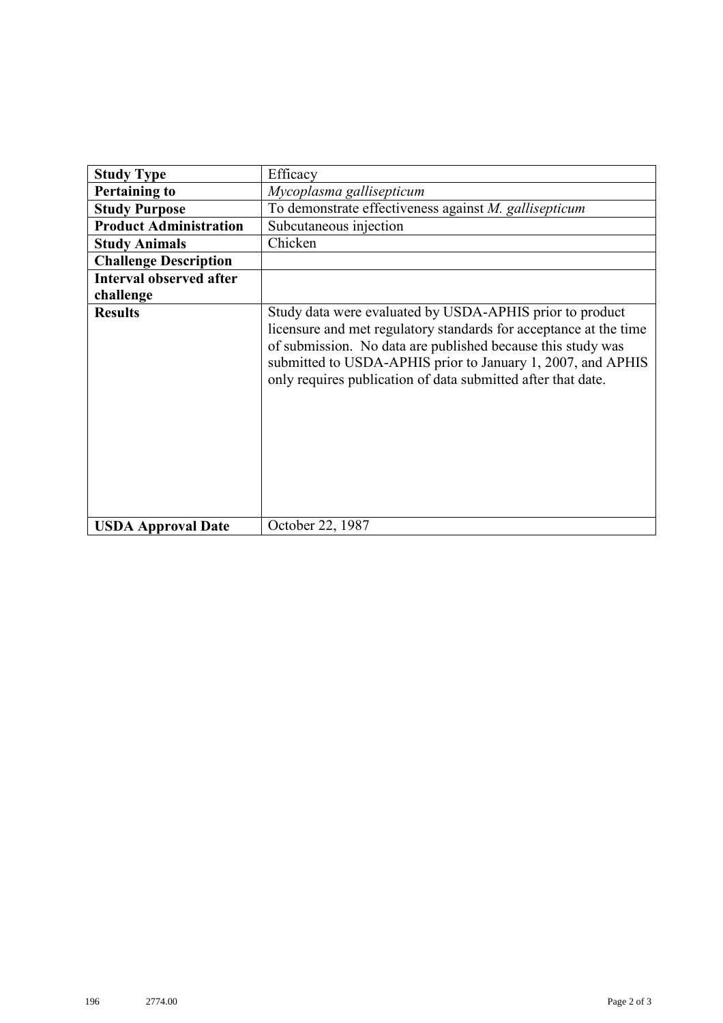| <b>Study Type</b>              | Efficacy                                                                                                                                                                                                                                                                                                                    |
|--------------------------------|-----------------------------------------------------------------------------------------------------------------------------------------------------------------------------------------------------------------------------------------------------------------------------------------------------------------------------|
| <b>Pertaining to</b>           | Mycoplasma gallisepticum                                                                                                                                                                                                                                                                                                    |
| <b>Study Purpose</b>           | To demonstrate effectiveness against M. gallisepticum                                                                                                                                                                                                                                                                       |
| <b>Product Administration</b>  | Subcutaneous injection                                                                                                                                                                                                                                                                                                      |
| <b>Study Animals</b>           | Chicken                                                                                                                                                                                                                                                                                                                     |
| <b>Challenge Description</b>   |                                                                                                                                                                                                                                                                                                                             |
| <b>Interval observed after</b> |                                                                                                                                                                                                                                                                                                                             |
| challenge                      |                                                                                                                                                                                                                                                                                                                             |
| <b>Results</b>                 | Study data were evaluated by USDA-APHIS prior to product<br>licensure and met regulatory standards for acceptance at the time<br>of submission. No data are published because this study was<br>submitted to USDA-APHIS prior to January 1, 2007, and APHIS<br>only requires publication of data submitted after that date. |
| <b>USDA Approval Date</b>      | October 22, 1987                                                                                                                                                                                                                                                                                                            |